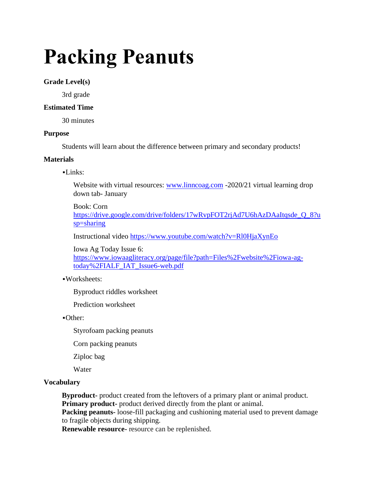# **Packing Peanuts**

## **Grade Level(s)**

3rd grade

## **Estimated Time**

30 minutes

#### **Purpose**

Students will learn about the difference between primary and secondary products!

#### **Materials**

 $-Links:$ 

Website with virtual resources: [www.linncoag.com](http://www.linncoag.com/) -2020/21 virtual learning drop down tab- January

Book: Corn [https://drive.google.com/drive/folders/17wRvpFOT2rjAd7U6hAzDAaItqsde\\_Q\\_8?u](https://drive.google.com/drive/folders/17wRvpFOT2rjAd7U6hAzDAaItqsde_Q_8?usp=sharing) [sp=sharing](https://drive.google.com/drive/folders/17wRvpFOT2rjAd7U6hAzDAaItqsde_Q_8?usp=sharing)

Instructional video <https://www.youtube.com/watch?v=Rl0HjaXynEo>

Iowa Ag Today Issue 6:

[https://www.iowaagliteracy.org/page/file?path=Files%2Fwebsite%2Fiowa-ag](https://www.iowaagliteracy.org/page/file?path=Files%2Fwebsite%2Fiowa-ag-today%2FIALF_IAT_Issue6-web.pdf)[today%2FIALF\\_IAT\\_Issue6-web.pdf](https://www.iowaagliteracy.org/page/file?path=Files%2Fwebsite%2Fiowa-ag-today%2FIALF_IAT_Issue6-web.pdf)

#### ▪Worksheets:

Byproduct riddles worksheet

Prediction worksheet

▪Other:

Styrofoam packing peanuts

Corn packing peanuts

Ziploc bag

**Water** 

#### **Vocabulary**

**Byproduct-** product created from the leftovers of a primary plant or animal product. **Primary product-** product derived directly from the plant or animal.

**Packing peanuts-** loose-fill packaging and cushioning material used to prevent damage to fragile objects during shipping.

**Renewable resource-** resource can be replenished.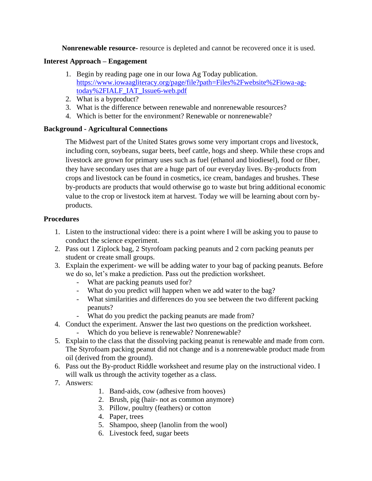**Nonrenewable resource-** resource is depleted and cannot be recovered once it is used.

## **Interest Approach – Engagement**

- 1. Begin by reading page one in our Iowa Ag Today publication. [https://www.iowaagliteracy.org/page/file?path=Files%2Fwebsite%2Fiowa-ag](https://www.iowaagliteracy.org/page/file?path=Files%2Fwebsite%2Fiowa-ag-today%2FIALF_IAT_Issue6-web.pdf)[today%2FIALF\\_IAT\\_Issue6-web.pdf](https://www.iowaagliteracy.org/page/file?path=Files%2Fwebsite%2Fiowa-ag-today%2FIALF_IAT_Issue6-web.pdf)
- 2. What is a byproduct?
- 3. What is the difference between renewable and nonrenewable resources?
- 4. Which is better for the environment? Renewable or nonrenewable?

## **Background - Agricultural Connections**

The Midwest part of the United States grows some very important crops and livestock, including corn, soybeans, sugar beets, beef cattle, hogs and sheep. While these crops and livestock are grown for primary uses such as fuel (ethanol and biodiesel), food or fiber, they have secondary uses that are a huge part of our everyday lives. By-products from crops and livestock can be found in cosmetics, ice cream, bandages and brushes. These by-products are products that would otherwise go to waste but bring additional economic value to the crop or livestock item at harvest. Today we will be learning about corn byproducts.

## **Procedures**

- 1. Listen to the instructional video: there is a point where I will be asking you to pause to conduct the science experiment.
- 2. Pass out 1 Ziplock bag, 2 Styrofoam packing peanuts and 2 corn packing peanuts per student or create small groups.
- 3. Explain the experiment- we will be adding water to your bag of packing peanuts. Before we do so, let's make a prediction. Pass out the prediction worksheet.
	- What are packing peanuts used for?
	- What do you predict will happen when we add water to the bag?
	- What similarities and differences do you see between the two different packing peanuts?
	- What do you predict the packing peanuts are made from?
- 4. Conduct the experiment. Answer the last two questions on the prediction worksheet.
	- Which do you believe is renewable? Nonrenewable?
- 5. Explain to the class that the dissolving packing peanut is renewable and made from corn. The Styrofoam packing peanut did not change and is a nonrenewable product made from oil (derived from the ground).
- 6. Pass out the By-product Riddle worksheet and resume play on the instructional video. I will walk us through the activity together as a class.
- 7. Answers:
- 1. Band-aids, cow (adhesive from hooves)
- 2. Brush, pig (hair- not as common anymore)
- 3. Pillow, poultry (feathers) or cotton
- 4. Paper, trees
- 5. Shampoo, sheep (lanolin from the wool)
- 6. Livestock feed, sugar beets